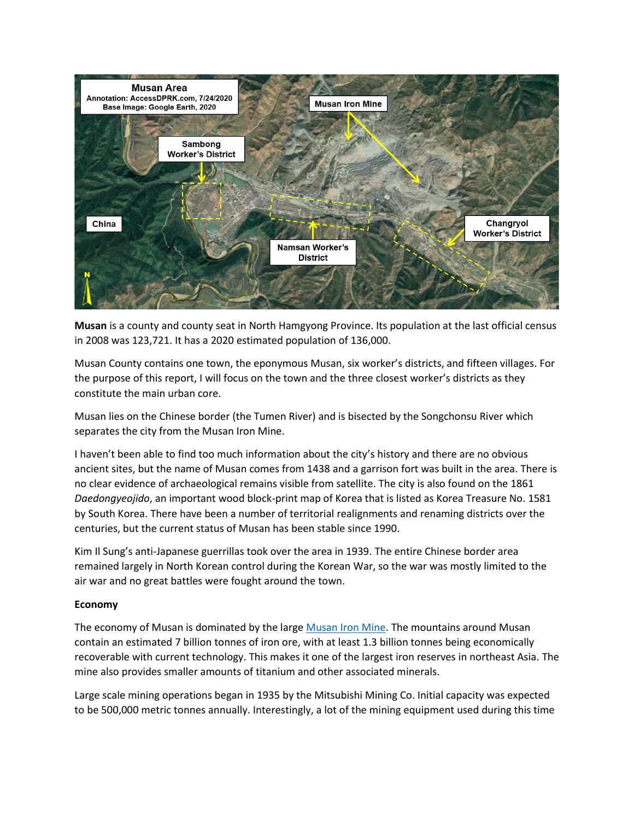

**Musan** is a county and county seat in North Hamgyong Province. Its population at the last official census in 2008 was 123,721. It has a 2020 estimated population of 136,000.

Musan County contains one town, the eponymous Musan, six worker's districts, and fifteen villages. For the purpose of this report, I will focus on the town and the three closest worker's districts as they constitute the main urban core.

Musan lies on the Chinese border (the Tumen River) and is bisected by the Songchonsu River which separates the city from the Musan Iron Mine.

I haven't been able to find too much information about the city's history and there are no obvious ancient sites, but the name of Musan comes from 1438 and a garrison fort was built in the area. There is no clear evidence of archaeological remains visible from satellite. The city is also found on the 1861 *Daedongyeojido*, an important wood block-print map of Korea that is listed as Korea Treasure No. 1581 by South Korea. There have been a number of territorial realignments and renaming districts over the centuries, but the current status of Musan has been stable since 1990.

Kim Il Sung's anti-Japanese guerrillas took over the area in 1939. The entire Chinese border area remained largely in North Korean control during the Korean War, so the war was mostly limited to the air war and no great battles were fought around the town.

## **Economy**

The economy of Musan is dominated by the larg[e Musan Iron Mine.](https://mynorthkorea.blogspot.com/2020/08/history-of-musan-iron-mine.html) The mountains around Musan contain an estimated 7 billion tonnes of iron ore, with at least 1.3 billion tonnes being economically recoverable with current technology. This makes it one of the largest iron reserves in northeast Asia. The mine also provides smaller amounts of titanium and other associated minerals.

Large scale mining operations began in 1935 by the Mitsubishi Mining Co. Initial capacity was expected to be 500,000 metric tonnes annually. Interestingly, a lot of the mining equipment used during this time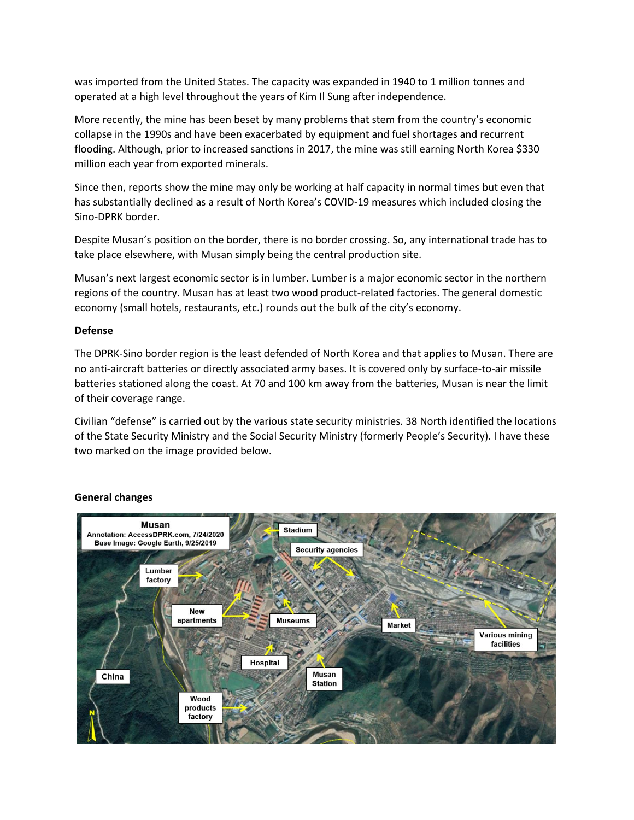was imported from the United States. The capacity was expanded in 1940 to 1 million tonnes and operated at a high level throughout the years of Kim Il Sung after independence.

More recently, the mine has been beset by many problems that stem from the country's economic collapse in the 1990s and have been exacerbated by equipment and fuel shortages and recurrent flooding. Although, prior to increased sanctions in 2017, the mine was still earning North Korea \$330 million each year from exported minerals.

Since then, reports show the mine may only be working at half capacity in normal times but even that has substantially declined as a result of North Korea's COVID-19 measures which included closing the Sino-DPRK border.

Despite Musan's position on the border, there is no border crossing. So, any international trade has to take place elsewhere, with Musan simply being the central production site.

Musan's next largest economic sector is in lumber. Lumber is a major economic sector in the northern regions of the country. Musan has at least two wood product-related factories. The general domestic economy (small hotels, restaurants, etc.) rounds out the bulk of the city's economy.

## **Defense**

The DPRK-Sino border region is the least defended of North Korea and that applies to Musan. There are no anti-aircraft batteries or directly associated army bases. It is covered only by surface-to-air missile batteries stationed along the coast. At 70 and 100 km away from the batteries, Musan is near the limit of their coverage range.

Civilian "defense" is carried out by the various state security ministries. 38 North identified the locations of the State Security Ministry and the Social Security Ministry (formerly People's Security). I have these two marked on the image provided below.



## **General changes**